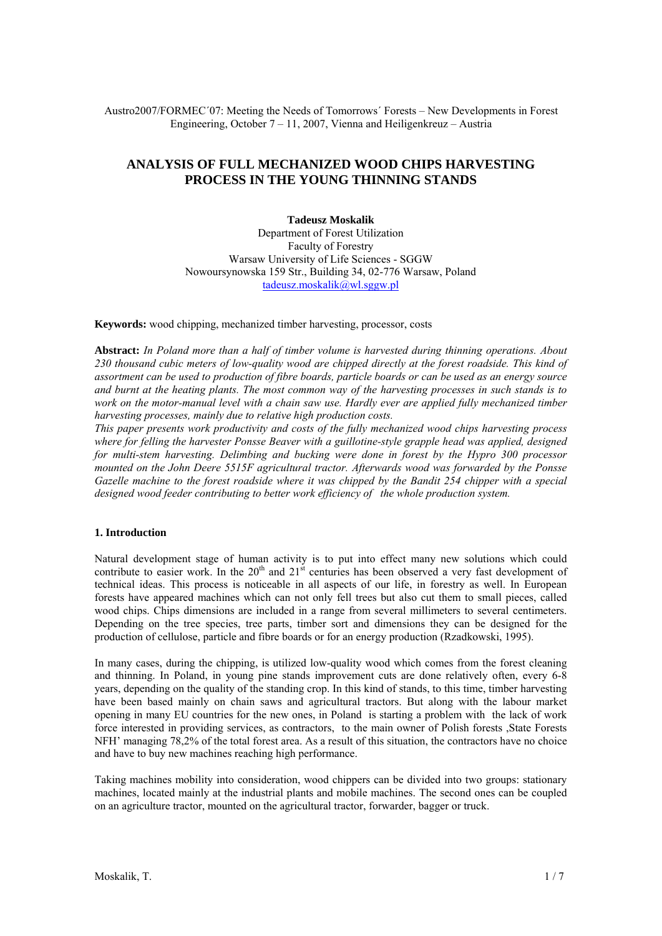Austro2007/FORMEC´07: Meeting the Needs of Tomorrows´ Forests – New Developments in Forest Engineering, October 7 – 11, 2007, Vienna and Heiligenkreuz – Austria

# **ANALYSIS OF FULL MECHANIZED WOOD CHIPS HARVESTING PROCESS IN THE YOUNG THINNING STANDS**

**Tadeusz Moskalik**  Department of Forest Utilization Faculty of Forestry Warsaw University of Life Sciences - SGGW Nowoursynowska 159 Str., Building 34, 02-776 Warsaw, Poland tadeusz.moskalik@wl.sggw.pl

**Keywords:** wood chipping, mechanized timber harvesting, processor, costs

**Abstract:** *In Poland more than a half of timber volume is harvested during thinning operations. About 230 thousand cubic meters of low-quality wood are chipped directly at the forest roadside. This kind of assortment can be used to production of fibre boards, particle boards or can be used as an energy source and burnt at the heating plants. The most common way of the harvesting processes in such stands is to work on the motor-manual level with a chain saw use. Hardly ever are applied fully mechanized timber harvesting processes, mainly due to relative high production costs.* 

*This paper presents work productivity and costs of the fully mechanized wood chips harvesting process where for felling the harvester Ponsse Beaver with a guillotine-style grapple head was applied, designed for multi-stem harvesting. Delimbing and bucking were done in forest by the Hypro 300 processor mounted on the John Deere 5515F agricultural tractor. Afterwards wood was forwarded by the Ponsse Gazelle machine to the forest roadside where it was chipped by the Bandit 254 chipper with a special designed wood feeder contributing to better work efficiency of the whole production system.* 

# **1. Introduction**

Natural development stage of human activity is to put into effect many new solutions which could contribute to easier work. In the 20<sup>th</sup> and  $21^{st}$  centuries has been observed a very fast development of technical ideas. This process is noticeable in all aspects of our life, in forestry as well. In European forests have appeared machines which can not only fell trees but also cut them to small pieces, called wood chips. Chips dimensions are included in a range from several millimeters to several centimeters. Depending on the tree species, tree parts, timber sort and dimensions they can be designed for the production of cellulose, particle and fibre boards or for an energy production (Rzadkowski, 1995).

In many cases, during the chipping, is utilized low-quality wood which comes from the forest cleaning and thinning. In Poland, in young pine stands improvement cuts are done relatively often, every 6-8 years, depending on the quality of the standing crop. In this kind of stands, to this time, timber harvesting have been based mainly on chain saws and agricultural tractors. But along with the labour market opening in many EU countries for the new ones, in Poland is starting a problem with the lack of work force interested in providing services, as contractors, to the main owner of Polish forests ,State Forests NFH' managing 78,2% of the total forest area. As a result of this situation, the contractors have no choice and have to buy new machines reaching high performance.

Taking machines mobility into consideration, wood chippers can be divided into two groups: stationary machines, located mainly at the industrial plants and mobile machines. The second ones can be coupled on an agriculture tractor, mounted on the agricultural tractor, forwarder, bagger or truck.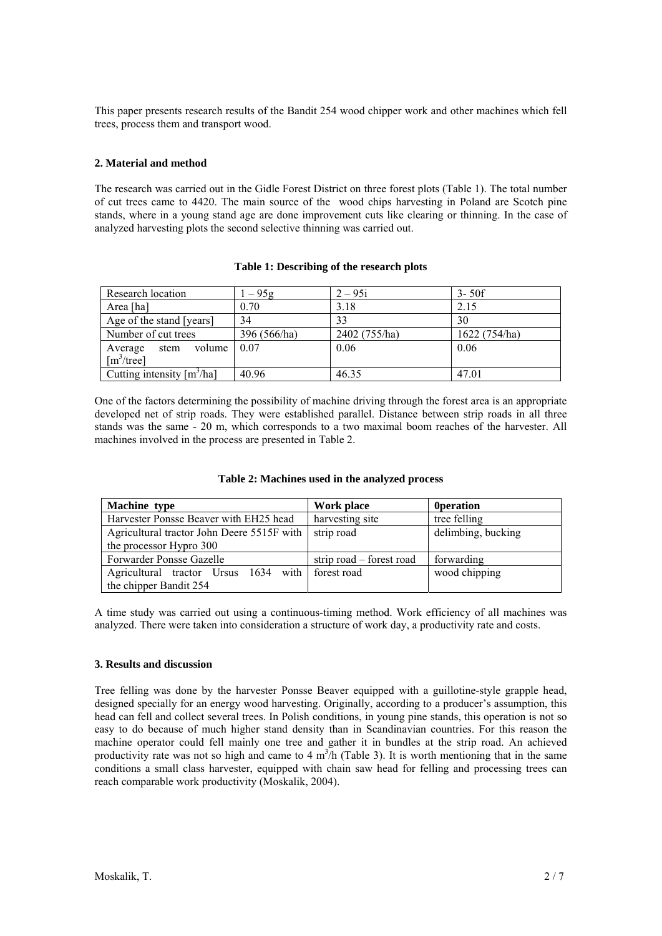This paper presents research results of the Bandit 254 wood chipper work and other machines which fell trees, process them and transport wood.

# **2. Material and method**

The research was carried out in the Gidle Forest District on three forest plots (Table 1). The total number of cut trees came to 4420. The main source of the wood chips harvesting in Poland are Scotch pine stands, where in a young stand age are done improvement cuts like clearing or thinning. In the case of analyzed harvesting plots the second selective thinning was carried out.

| Research location                                            | $1 - 95g$    | $2 - 95i$     | $3 - 50f$     |  |
|--------------------------------------------------------------|--------------|---------------|---------------|--|
| Area [ha]                                                    | 0.70         | 3.18          | 2.15          |  |
| Age of the stand [years]                                     | 34           | 33            | 30            |  |
| Number of cut trees                                          | 396 (566/ha) | 2402 (755/ha) | 1622 (754/ha) |  |
| volume<br>Average<br>stem<br>$\lceil m^3/\text{tree} \rceil$ | 0.07         | 0.06          | 0.06          |  |
| Cutting intensity $[m^3/ha]$                                 | 40.96        | 46.35         | 47.01         |  |

#### **Table 1: Describing of the research plots**

One of the factors determining the possibility of machine driving through the forest area is an appropriate developed net of strip roads. They were established parallel. Distance between strip roads in all three stands was the same - 20 m, which corresponds to a two maximal boom reaches of the harvester. All machines involved in the process are presented in Table 2.

| Machine type                                     | Work place               | <b>Operation</b>   |  |
|--------------------------------------------------|--------------------------|--------------------|--|
| Harvester Ponsse Beaver with EH25 head           | harvesting site          | tree felling       |  |
| Agricultural tractor John Deere 5515F with       | strip road               | delimbing, bucking |  |
| the processor Hypro 300                          |                          |                    |  |
| Forwarder Ponsse Gazelle                         | strip road – forest road | forwarding         |  |
| Agricultural tractor Ursus 1634 with forest road |                          | wood chipping      |  |
| the chipper Bandit 254                           |                          |                    |  |

A time study was carried out using a continuous-timing method. Work efficiency of all machines was analyzed. There were taken into consideration a structure of work day, a productivity rate and costs.

# **3. Results and discussion**

Tree felling was done by the harvester Ponsse Beaver equipped with a guillotine-style grapple head, designed specially for an energy wood harvesting. Originally, according to a producer's assumption, this head can fell and collect several trees. In Polish conditions, in young pine stands, this operation is not so easy to do because of much higher stand density than in Scandinavian countries. For this reason the machine operator could fell mainly one tree and gather it in bundles at the strip road. An achieved productivity rate was not so high and came to 4  $m<sup>3</sup>/h$  (Table 3). It is worth mentioning that in the same conditions a small class harvester, equipped with chain saw head for felling and processing trees can reach comparable work productivity (Moskalik, 2004).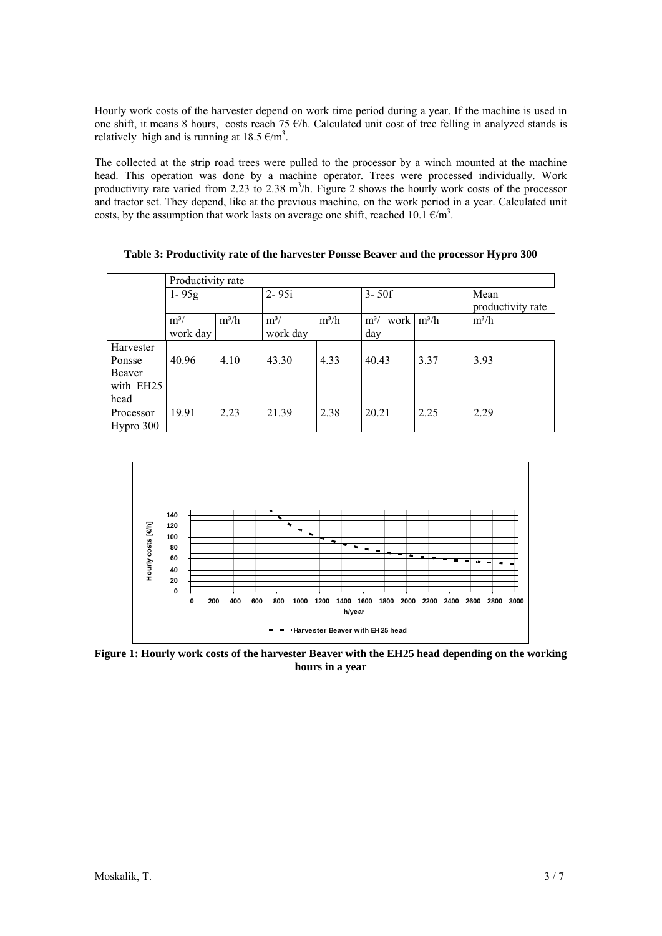Hourly work costs of the harvester depend on work time period during a year. If the machine is used in one shift, it means 8 hours, costs reach 75 €/h. Calculated unit cost of tree felling in analyzed stands is relatively high and is running at  $18.5 \text{ } \infty/\text{m}^3$ .

The collected at the strip road trees were pulled to the processor by a winch mounted at the machine head. This operation was done by a machine operator. Trees were processed individually. Work productivity rate varied from 2.23 to 2.38  $m^3/h$ . Figure 2 shows the hourly work costs of the processor and tractor set. They depend, like at the previous machine, on the work period in a year. Calculated unit costs, by the assumption that work lasts on average one shift, reached 10.1  $\epsilon/m^3$ .

|           | Productivity rate |         |           |         |                        |      |                   |  |  |
|-----------|-------------------|---------|-----------|---------|------------------------|------|-------------------|--|--|
|           | $1 - 95g$         |         | $2 - 95i$ |         | $3 - 50f$              |      | Mean              |  |  |
|           |                   |         |           |         |                        |      | productivity rate |  |  |
|           | $m^3/$            | $m^3/h$ | $m^3/$    | $m^3/h$ | work $m^3/h$<br>$m^3/$ |      | $m^3/h$           |  |  |
|           | work day          |         | work day  |         | day                    |      |                   |  |  |
| Harvester |                   |         |           |         |                        |      |                   |  |  |
| Ponsse    | 40.96             | 4.10    | 43.30     | 4.33    | 40.43                  | 3.37 | 3.93              |  |  |
| Beaver    |                   |         |           |         |                        |      |                   |  |  |
| with EH25 |                   |         |           |         |                        |      |                   |  |  |
| head      |                   |         |           |         |                        |      |                   |  |  |
| Processor | 19.91             | 2.23    | 21.39     | 2.38    | 20.21                  | 2.25 | 2.29              |  |  |
| Hypro 300 |                   |         |           |         |                        |      |                   |  |  |

**Table 3: Productivity rate of the harvester Ponsse Beaver and the processor Hypro 300** 



**Figure 1: Hourly work costs of the harvester Beaver with the EH25 head depending on the working hours in a year**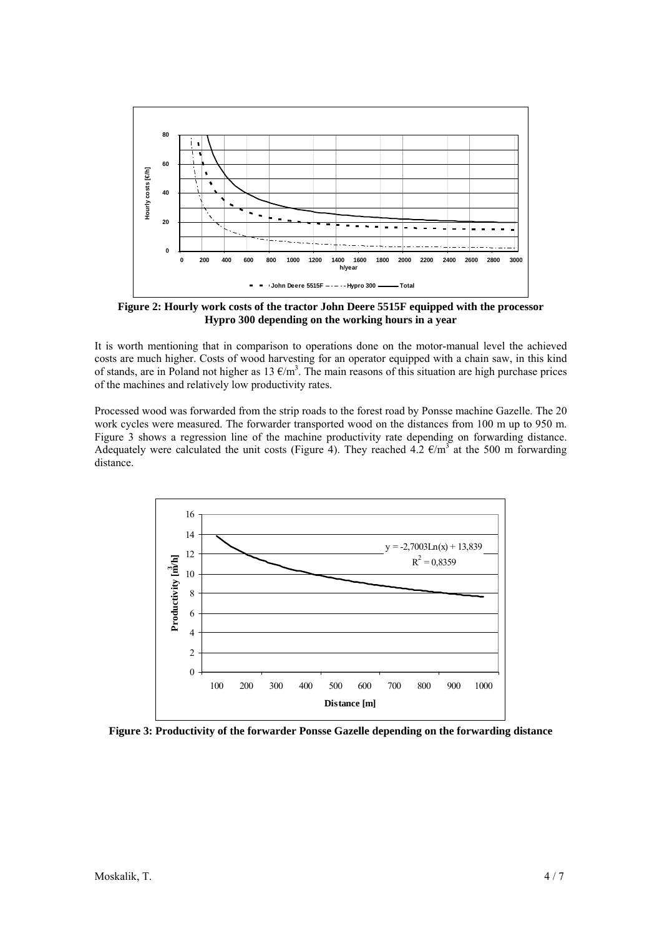

**Figure 2: Hourly work costs of the tractor John Deere 5515F equipped with the processor Hypro 300 depending on the working hours in a year** 

It is worth mentioning that in comparison to operations done on the motor-manual level the achieved costs are much higher. Costs of wood harvesting for an operator equipped with a chain saw, in this kind of stands, are in Poland not higher as  $13 \text{ E/m}^3$ . The main reasons of this situation are high purchase prices of the machines and relatively low productivity rates.

Processed wood was forwarded from the strip roads to the forest road by Ponsse machine Gazelle. The 20 work cycles were measured. The forwarder transported wood on the distances from 100 m up to 950 m. Figure 3 shows a regression line of the machine productivity rate depending on forwarding distance. Adequately were calculated the unit costs (Figure 4). They reached 4.2  $\epsilon/m^3$  at the 500 m forwarding distance.



**Figure 3: Productivity of the forwarder Ponsse Gazelle depending on the forwarding distance**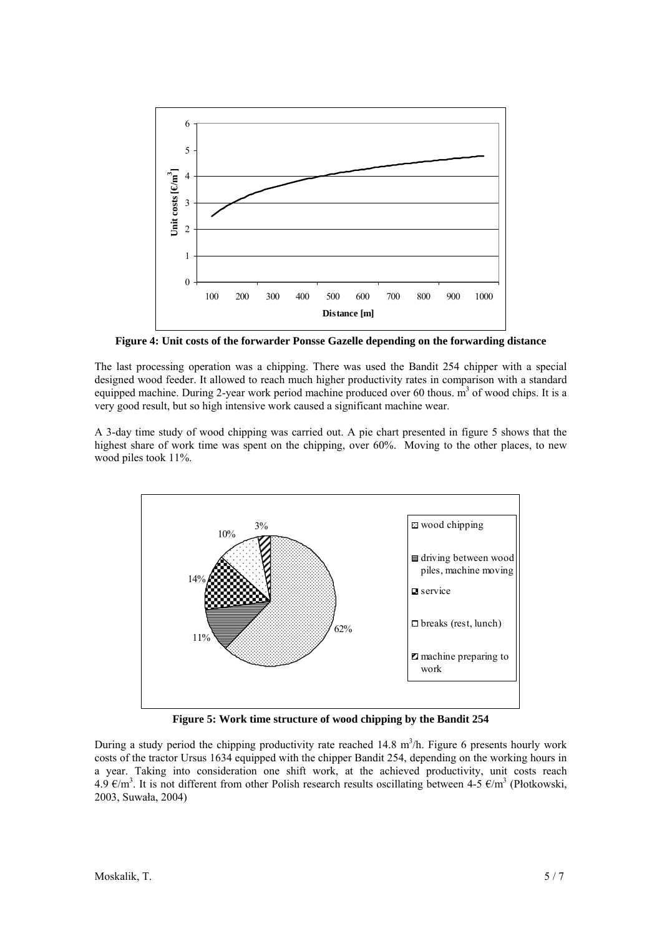

**Figure 4: Unit costs of the forwarder Ponsse Gazelle depending on the forwarding distance** 

The last processing operation was a chipping. There was used the Bandit 254 chipper with a special designed wood feeder. It allowed to reach much higher productivity rates in comparison with a standard equipped machine. During 2-year work period machine produced over 60 thous. m<sup>3</sup> of wood chips. It is a very good result, but so high intensive work caused a significant machine wear.

A 3-day time study of wood chipping was carried out. A pie chart presented in figure 5 shows that the highest share of work time was spent on the chipping, over 60%. Moving to the other places, to new wood piles took 11%.



**Figure 5: Work time structure of wood chipping by the Bandit 254** 

During a study period the chipping productivity rate reached 14.8  $m<sup>3</sup>/h$ . Figure 6 presents hourly work costs of the tractor Ursus 1634 equipped with the chipper Bandit 254, depending on the working hours in a year. Taking into consideration one shift work, at the achieved productivity, unit costs reach 4.9 €/m<sup>3</sup>. It is not different from other Polish research results oscillating between 4-5 €/m<sup>3</sup> (Płotkowski, 2003, Suwała, 2004)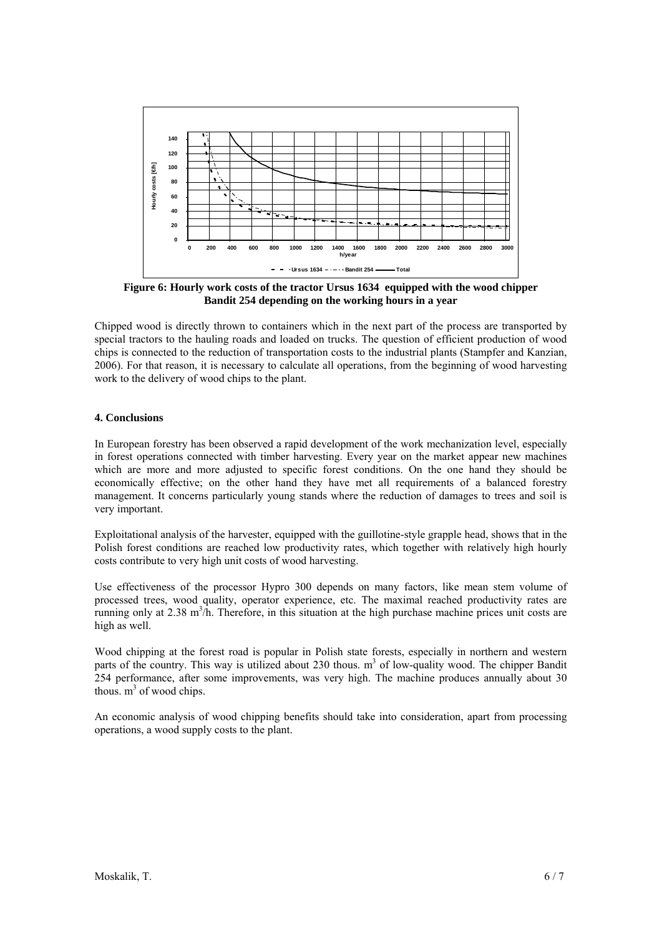

**Figure 6: Hourly work costs of the tractor Ursus 1634 equipped with the wood chipper Bandit 254 depending on the working hours in a year** 

Chipped wood is directly thrown to containers which in the next part of the process are transported by special tractors to the hauling roads and loaded on trucks. The question of efficient production of wood chips is connected to the reduction of transportation costs to the industrial plants (Stampfer and Kanzian, 2006). For that reason, it is necessary to calculate all operations, from the beginning of wood harvesting work to the delivery of wood chips to the plant.

# **4. Conclusions**

In European forestry has been observed a rapid development of the work mechanization level, especially in forest operations connected with timber harvesting. Every year on the market appear new machines which are more and more adjusted to specific forest conditions. On the one hand they should be economically effective; on the other hand they have met all requirements of a balanced forestry management. It concerns particularly young stands where the reduction of damages to trees and soil is very important.

Exploitational analysis of the harvester, equipped with the guillotine-style grapple head, shows that in the Polish forest conditions are reached low productivity rates, which together with relatively high hourly costs contribute to very high unit costs of wood harvesting.

Use effectiveness of the processor Hypro 300 depends on many factors, like mean stem volume of processed trees, wood quality, operator experience, etc. The maximal reached productivity rates are running only at  $2.38 \text{ m}^3$ /h. Therefore, in this situation at the high purchase machine prices unit costs are high as well.

Wood chipping at the forest road is popular in Polish state forests, especially in northern and western parts of the country. This way is utilized about 230 thous.  $m<sup>3</sup>$  of low-quality wood. The chipper Bandit 254 performance, after some improvements, was very high. The machine produces annually about 30 thous.  $m^3$  of wood chips.

An economic analysis of wood chipping benefits should take into consideration, apart from processing operations, a wood supply costs to the plant.